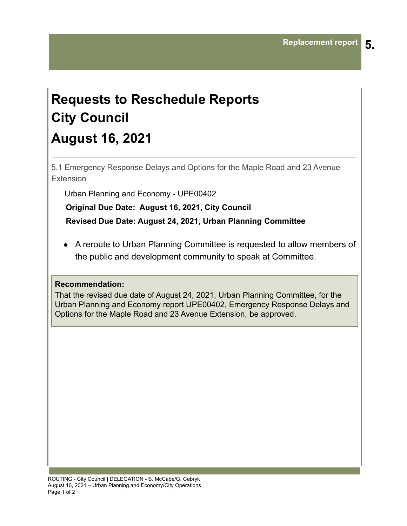## **Requests to Reschedule Reports City Council August 16, 2021**

5.1 Emergency Response Delays and Options for the Maple Road and 23 Avenue Extension

Urban Planning and Economy - UPE00402

**Original Due Date: August 16, 2021, City Council**

**Revised Due Date: August 24, 2021, Urban Planning Committee**

● A reroute to Urban Planning Committee is requested to allow members of the public and development community to speak at Committee.

## **Recommendation:**

That the revised due date of August 24, 2021, Urban Planning Committee, for the Urban Planning and Economy report UPE00402, Emergency Response Delays and Options for the Maple Road and 23 Avenue Extension, be approved.